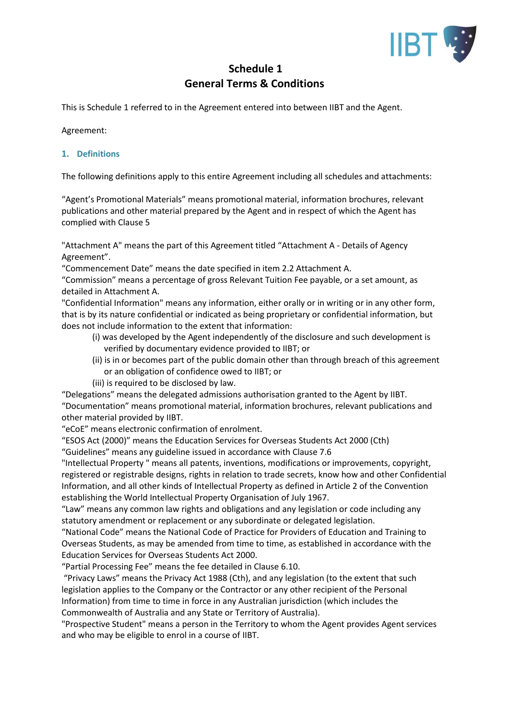

# **Schedule 1 General Terms & Conditions**

This is Schedule 1 referred to in the Agreement entered into between IIBT and the Agent.

Agreement:

# **1. Definitions**

The following definitions apply to this entire Agreement including all schedules and attachments:

"Agent's Promotional Materials" means promotional material, information brochures, relevant publications and other material prepared by the Agent and in respect of which the Agent has complied with Clause 5

"Attachment A" means the part of this Agreement titled "Attachment A - Details of Agency Agreement".

"Commencement Date" means the date specified in item 2.2 Attachment A.

"Commission" means a percentage of gross Relevant Tuition Fee payable, or a set amount, as detailed in Attachment A.

"Confidential Information" means any information, either orally or in writing or in any other form, that is by its nature confidential or indicated as being proprietary or confidential information, but does not include information to the extent that information:

- (i) was developed by the Agent independently of the disclosure and such development is verified by documentary evidence provided to IIBT; or
- (ii) is in or becomes part of the public domain other than through breach of this agreement or an obligation of confidence owed to IIBT; or
- (iii) is required to be disclosed by law.

"Delegations" means the delegated admissions authorisation granted to the Agent by IIBT. "Documentation" means promotional material, information brochures, relevant publications and other material provided by IIBT.

"eCoE" means electronic confirmation of enrolment.

"ESOS Act (2000)" means the Education Services for Overseas Students Act 2000 (Cth)

"Guidelines" means any guideline issued in accordance with Clause 7.6

"Intellectual Property " means all patents, inventions, modifications or improvements, copyright, registered or registrable designs, rights in relation to trade secrets, know how and other Confidential Information, and all other kinds of Intellectual Property as defined in Article 2 of the Convention establishing the World Intellectual Property Organisation of July 1967.

"Law" means any common law rights and obligations and any legislation or code including any statutory amendment or replacement or any subordinate or delegated legislation.

"National Code" means the National Code of Practice for Providers of Education and Training to Overseas Students, as may be amended from time to time, as established in accordance with the Education Services for Overseas Students Act 2000.

"Partial Processing Fee" means the fee detailed in Clause 6.10.

"Privacy Laws" means the Privacy Act 1988 (Cth), and any legislation (to the extent that such legislation applies to the Company or the Contractor or any other recipient of the Personal Information) from time to time in force in any Australian jurisdiction (which includes the Commonwealth of Australia and any State or Territory of Australia).

"Prospective Student" means a person in the Territory to whom the Agent provides Agent services and who may be eligible to enrol in a course of IIBT.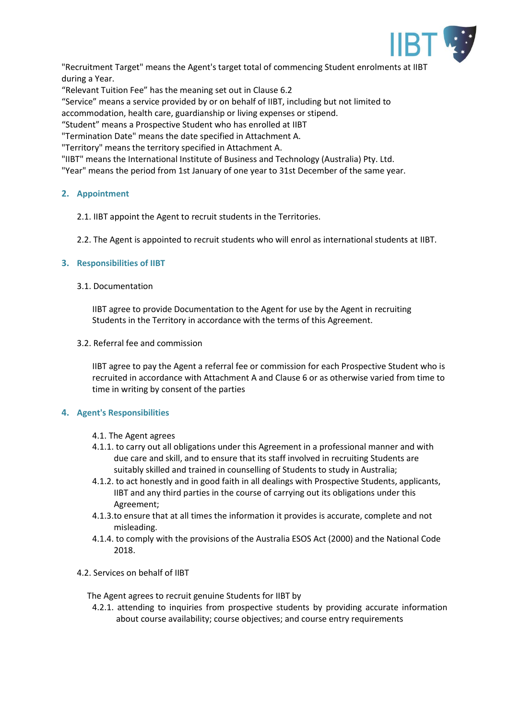

"Recruitment Target" means the Agent's target total of commencing Student enrolments at IIBT during a Year.

"Relevant Tuition Fee" has the meaning set out in Clause 6.2

"Service" means a service provided by or on behalf of IIBT, including but not limited to

accommodation, health care, guardianship or living expenses or stipend.

"Student" means a Prospective Student who has enrolled at IIBT

"Termination Date" means the date specified in Attachment A.

"Territory" means the territory specified in Attachment A.

"IIBT" means the International Institute of Business and Technology (Australia) Pty. Ltd.

"Year" means the period from 1st January of one year to 31st December of the same year.

## **2. Appointment**

- 2.1. IIBT appoint the Agent to recruit students in the Territories.
- 2.2. The Agent is appointed to recruit students who will enrol as international students at IIBT.

## **3. Responsibilities of IIBT**

#### 3.1. Documentation

IIBT agree to provide Documentation to the Agent for use by the Agent in recruiting Students in the Territory in accordance with the terms of this Agreement.

#### 3.2. Referral fee and commission

IIBT agree to pay the Agent a referral fee or commission for each Prospective Student who is recruited in accordance with Attachment A and Clause 6 or as otherwise varied from time to time in writing by consent of the parties

# **4. Agent's Responsibilities**

#### 4.1. The Agent agrees

- 4.1.1. to carry out all obligations under this Agreement in a professional manner and with due care and skill, and to ensure that its staff involved in recruiting Students are suitably skilled and trained in counselling of Students to study in Australia;
- 4.1.2. to act honestly and in good faith in all dealings with Prospective Students, applicants, IIBT and any third parties in the course of carrying out its obligations under this Agreement;
- 4.1.3.to ensure that at all times the information it provides is accurate, complete and not misleading.
- 4.1.4. to comply with the provisions of the Australia ESOS Act (2000) and the National Code 2018.
- 4.2. Services on behalf of IIBT

The Agent agrees to recruit genuine Students for IIBT by

4.2.1. attending to inquiries from prospective students by providing accurate information about course availability; course objectives; and course entry requirements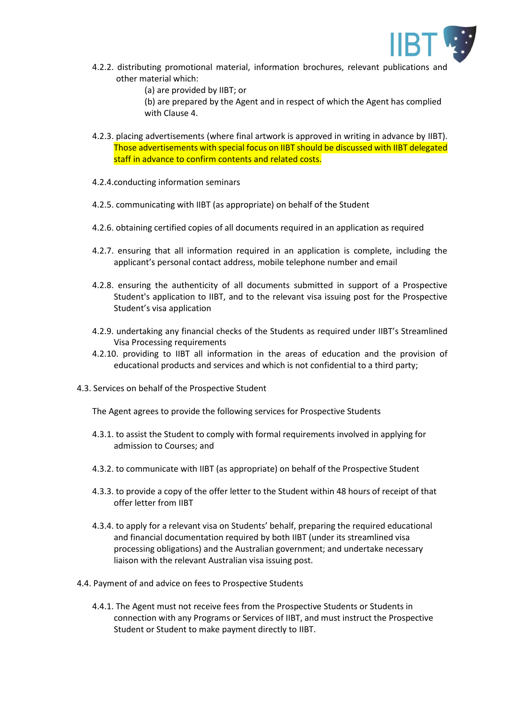

- 4.2.2. distributing promotional material, information brochures, relevant publications and other material which:
	- (a) are provided by IIBT; or

(b) are prepared by the Agent and in respect of which the Agent has complied with Clause 4.

- 4.2.3. placing advertisements (where final artwork is approved in writing in advance by IIBT). Those advertisements with special focus on IIBT should be discussed with IIBT delegated staff in advance to confirm contents and related costs.
- 4.2.4.conducting information seminars
- 4.2.5. communicating with IIBT (as appropriate) on behalf of the Student
- 4.2.6. obtaining certified copies of all documents required in an application as required
- 4.2.7. ensuring that all information required in an application is complete, including the applicant's personal contact address, mobile telephone number and email
- 4.2.8. ensuring the authenticity of all documents submitted in support of a Prospective Student's application to IIBT, and to the relevant visa issuing post for the Prospective Student's visa application
- 4.2.9. undertaking any financial checks of the Students as required under IIBT's Streamlined Visa Processing requirements
- 4.2.10. providing to IIBT all information in the areas of education and the provision of educational products and services and which is not confidential to a third party;
- 4.3. Services on behalf of the Prospective Student
	- The Agent agrees to provide the following services for Prospective Students
	- 4.3.1. to assist the Student to comply with formal requirements involved in applying for admission to Courses; and
	- 4.3.2. to communicate with IIBT (as appropriate) on behalf of the Prospective Student
	- 4.3.3. to provide a copy of the offer letter to the Student within 48 hours of receipt of that offer letter from IIBT
	- 4.3.4. to apply for a relevant visa on Students' behalf, preparing the required educational and financial documentation required by both IIBT (under its streamlined visa processing obligations) and the Australian government; and undertake necessary liaison with the relevant Australian visa issuing post.
- 4.4. Payment of and advice on fees to Prospective Students
	- 4.4.1. The Agent must not receive fees from the Prospective Students or Students in connection with any Programs or Services of IIBT, and must instruct the Prospective Student or Student to make payment directly to IIBT.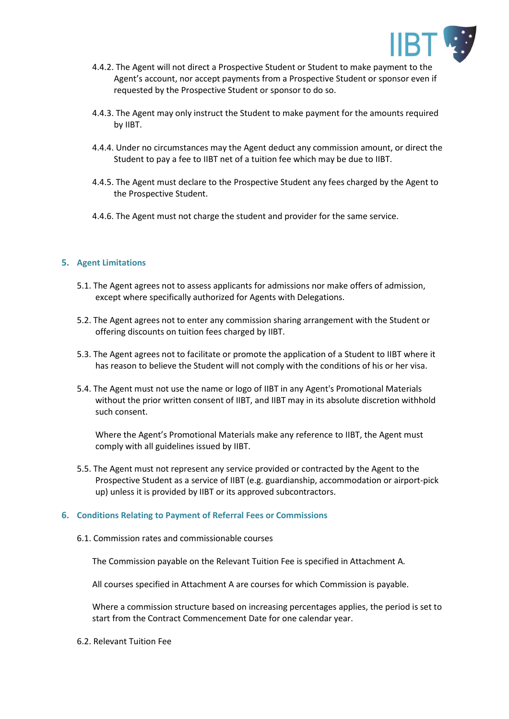

- 4.4.2. The Agent will not direct a Prospective Student or Student to make payment to the Agent's account, nor accept payments from a Prospective Student or sponsor even if requested by the Prospective Student or sponsor to do so.
- 4.4.3. The Agent may only instruct the Student to make payment for the amounts required by IIBT.
- 4.4.4. Under no circumstances may the Agent deduct any commission amount, or direct the Student to pay a fee to IIBT net of a tuition fee which may be due to IIBT.
- 4.4.5. The Agent must declare to the Prospective Student any fees charged by the Agent to the Prospective Student.
- 4.4.6. The Agent must not charge the student and provider for the same service.

## **5. Agent Limitations**

- 5.1. The Agent agrees not to assess applicants for admissions nor make offers of admission, except where specifically authorized for Agents with Delegations.
- 5.2. The Agent agrees not to enter any commission sharing arrangement with the Student or offering discounts on tuition fees charged by IIBT.
- 5.3. The Agent agrees not to facilitate or promote the application of a Student to IIBT where it has reason to believe the Student will not comply with the conditions of his or her visa.
- 5.4. The Agent must not use the name or logo of IIBT in any Agent's Promotional Materials without the prior written consent of IIBT, and IIBT may in its absolute discretion withhold such consent.

Where the Agent's Promotional Materials make any reference to IIBT, the Agent must comply with all guidelines issued by IIBT.

5.5. The Agent must not represent any service provided or contracted by the Agent to the Prospective Student as a service of IIBT (e.g. guardianship, accommodation or airport-pick up) unless it is provided by IIBT or its approved subcontractors.

#### **6. Conditions Relating to Payment of Referral Fees or Commissions**

6.1. Commission rates and commissionable courses

The Commission payable on the Relevant Tuition Fee is specified in Attachment A.

All courses specified in Attachment A are courses for which Commission is payable.

Where a commission structure based on increasing percentages applies, the period is set to start from the Contract Commencement Date for one calendar year.

6.2. Relevant Tuition Fee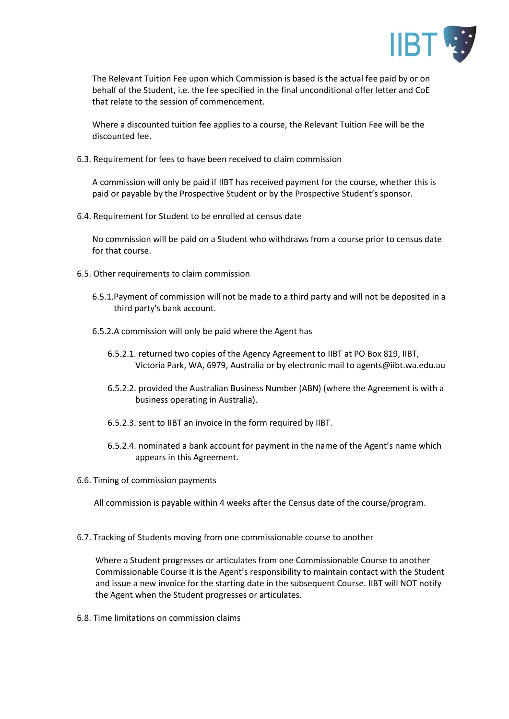

The Relevant Tuition Fee upon which Commission is based is the actual fee paid by or on behalf of the Student, i.e. the fee specified in the final unconditional offer letter and CoE that relate to the session of commencement.

Where a discounted tuition fee applies to a course, the Relevant Tuition Fee will be the discounted fee.

6.3. Requirement for fees to have been received to claim commission

A commission will only be paid if IIBT has received payment for the course, whether this is paid or payable by the Prospective Student or by the Prospective Student's sponsor.

6.4. Requirement for Student to be enrolled at census date

No commission will be paid on a Student who withdraws from a course prior to census date for that course.

- 6.5. Other requirements to claim commission
	- 6.5.1.Payment of commission will not be made to a third party and will not be deposited in a third party's bank account.
	- 6.5.2.A commission will only be paid where the Agent has
		- 6.5.2.1. returned two copies of the Agency Agreement to IIBT at PO Box 819, IIBT, Victoria Park, WA, 6979, Australia or by electronic mail to agents@iibt.wa.edu.au
		- 6.5.2.2. provided the Australian Business Number (ABN) (where the Agreement is with a business operating in Australia).
		- 6.5.2.3. sent to IIBT an invoice in the form required by IIBT.
		- 6.5.2.4. nominated a bank account for payment in the name of the Agent's name which appears in this Agreement.
- 6.6. Timing of commission payments

All commission is payable within 4 weeks after the Census date of the course/program.

6.7. Tracking of Students moving from one commissionable course to another

Where a Student progresses or articulates from one Commissionable Course to another Commissionable Course it is the Agent's responsibility to maintain contact with the Student and issue a new invoice for the starting date in the subsequent Course. IIBT will NOT notify the Agent when the Student progresses or articulates.

6.8. Time limitations on commission claims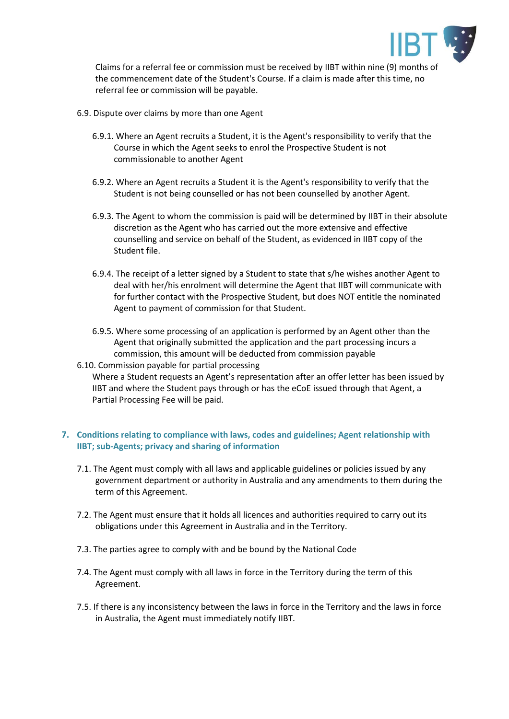

Claims for a referral fee or commission must be received by IIBT within nine (9) months of the commencement date of the Student's Course. If a claim is made after this time, no referral fee or commission will be payable.

- 6.9. Dispute over claims by more than one Agent
	- 6.9.1. Where an Agent recruits a Student, it is the Agent's responsibility to verify that the Course in which the Agent seeks to enrol the Prospective Student is not commissionable to another Agent
	- 6.9.2. Where an Agent recruits a Student it is the Agent's responsibility to verify that the Student is not being counselled or has not been counselled by another Agent.
	- 6.9.3. The Agent to whom the commission is paid will be determined by IIBT in their absolute discretion as the Agent who has carried out the more extensive and effective counselling and service on behalf of the Student, as evidenced in IIBT copy of the Student file.
	- 6.9.4. The receipt of a letter signed by a Student to state that s/he wishes another Agent to deal with her/his enrolment will determine the Agent that IIBT will communicate with for further contact with the Prospective Student, but does NOT entitle the nominated Agent to payment of commission for that Student.
	- 6.9.5. Where some processing of an application is performed by an Agent other than the Agent that originally submitted the application and the part processing incurs a commission, this amount will be deducted from commission payable
- 6.10. Commission payable for partial processing Where a Student requests an Agent's representation after an offer letter has been issued by IIBT and where the Student pays through or has the eCoE issued through that Agent, a Partial Processing Fee will be paid.

# **7. Conditions relating to compliance with laws, codes and guidelines; Agent relationship with IIBT; sub-Agents; privacy and sharing of information**

- 7.1. The Agent must comply with all laws and applicable guidelines or policies issued by any government department or authority in Australia and any amendments to them during the term of this Agreement.
- 7.2. The Agent must ensure that it holds all licences and authorities required to carry out its obligations under this Agreement in Australia and in the Territory.
- 7.3. The parties agree to comply with and be bound by the National Code
- 7.4. The Agent must comply with all laws in force in the Territory during the term of this Agreement.
- 7.5. If there is any inconsistency between the laws in force in the Territory and the laws in force in Australia, the Agent must immediately notify IIBT.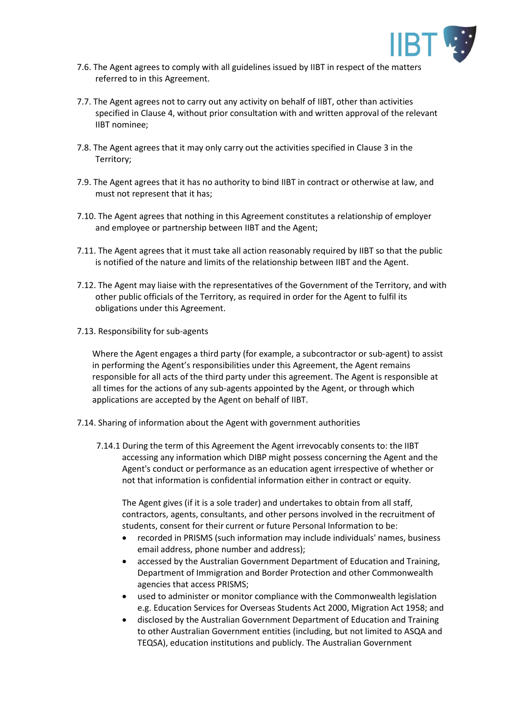

- 7.6. The Agent agrees to comply with all guidelines issued by IIBT in respect of the matters referred to in this Agreement.
- 7.7. The Agent agrees not to carry out any activity on behalf of IIBT, other than activities specified in Clause 4, without prior consultation with and written approval of the relevant IIBT nominee;
- 7.8. The Agent agrees that it may only carry out the activities specified in Clause 3 in the Territory;
- 7.9. The Agent agrees that it has no authority to bind IIBT in contract or otherwise at law, and must not represent that it has;
- 7.10. The Agent agrees that nothing in this Agreement constitutes a relationship of employer and employee or partnership between IIBT and the Agent;
- 7.11. The Agent agrees that it must take all action reasonably required by IIBT so that the public is notified of the nature and limits of the relationship between IIBT and the Agent.
- 7.12. The Agent may liaise with the representatives of the Government of the Territory, and with other public officials of the Territory, as required in order for the Agent to fulfil its obligations under this Agreement.
- 7.13. Responsibility for sub-agents

Where the Agent engages a third party (for example, a subcontractor or sub-agent) to assist in performing the Agent's responsibilities under this Agreement, the Agent remains responsible for all acts of the third party under this agreement. The Agent is responsible at all times for the actions of any sub-agents appointed by the Agent, or through which applications are accepted by the Agent on behalf of IIBT.

- 7.14. Sharing of information about the Agent with government authorities
	- 7.14.1 During the term of this Agreement the Agent irrevocably consents to: the IIBT accessing any information which DIBP might possess concerning the Agent and the Agent's conduct or performance as an education agent irrespective of whether or not that information is confidential information either in contract or equity.

The Agent gives (if it is a sole trader) and undertakes to obtain from all staff, contractors, agents, consultants, and other persons involved in the recruitment of students, consent for their current or future Personal Information to be:

- recorded in PRISMS (such information may include individuals' names, business email address, phone number and address);
- accessed by the Australian Government Department of Education and Training, Department of Immigration and Border Protection and other Commonwealth agencies that access PRISMS;
- used to administer or monitor compliance with the Commonwealth legislation e.g. Education Services for Overseas Students Act 2000, Migration Act 1958; and
- disclosed by the Australian Government Department of Education and Training to other Australian Government entities (including, but not limited to ASQA and TEQSA), education institutions and publicly. The Australian Government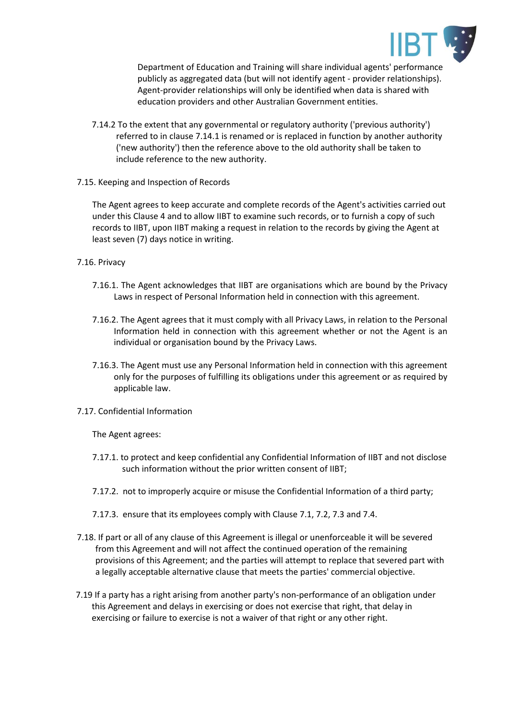

Department of Education and Training will share individual agents' performance publicly as aggregated data (but will not identify agent - provider relationships). Agent-provider relationships will only be identified when data is shared with education providers and other Australian Government entities.

- 7.14.2 To the extent that any governmental or regulatory authority ('previous authority') referred to in clause 7.14.1 is renamed or is replaced in function by another authority ('new authority') then the reference above to the old authority shall be taken to include reference to the new authority.
- 7.15. Keeping and Inspection of Records

The Agent agrees to keep accurate and complete records of the Agent's activities carried out under this Clause 4 and to allow IIBT to examine such records, or to furnish a copy of such records to IIBT, upon IIBT making a request in relation to the records by giving the Agent at least seven (7) days notice in writing.

- 7.16. Privacy
	- 7.16.1. The Agent acknowledges that IIBT are organisations which are bound by the Privacy Laws in respect of Personal Information held in connection with this agreement.
	- 7.16.2. The Agent agrees that it must comply with all Privacy Laws, in relation to the Personal Information held in connection with this agreement whether or not the Agent is an individual or organisation bound by the Privacy Laws.
	- 7.16.3. The Agent must use any Personal Information held in connection with this agreement only for the purposes of fulfilling its obligations under this agreement or as required by applicable law.
- 7.17. Confidential Information

The Agent agrees:

- 7.17.1. to protect and keep confidential any Confidential Information of IIBT and not disclose such information without the prior written consent of IIBT;
- 7.17.2. not to improperly acquire or misuse the Confidential Information of a third party;
- 7.17.3. ensure that its employees comply with Clause 7.1, 7.2, 7.3 and 7.4.
- 7.18. If part or all of any clause of this Agreement is illegal or unenforceable it will be severed from this Agreement and will not affect the continued operation of the remaining provisions of this Agreement; and the parties will attempt to replace that severed part with a legally acceptable alternative clause that meets the parties' commercial objective.
- 7.19 If a party has a right arising from another party's non-performance of an obligation under this Agreement and delays in exercising or does not exercise that right, that delay in exercising or failure to exercise is not a waiver of that right or any other right.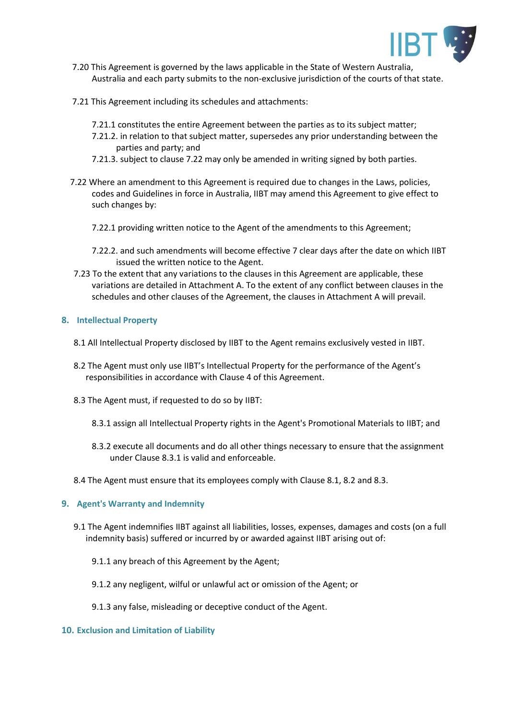

- 7.20 This Agreement is governed by the laws applicable in the State of Western Australia, Australia and each party submits to the non-exclusive jurisdiction of the courts of that state.
- 7.21 This Agreement including its schedules and attachments:
	- 7.21.1 constitutes the entire Agreement between the parties as to its subject matter;
	- 7.21.2. in relation to that subject matter, supersedes any prior understanding between the parties and party; and
	- 7.21.3. subject to clause 7.22 may only be amended in writing signed by both parties.
- 7.22 Where an amendment to this Agreement is required due to changes in the Laws, policies, codes and Guidelines in force in Australia, IIBT may amend this Agreement to give effect to such changes by:
	- 7.22.1 providing written notice to the Agent of the amendments to this Agreement;
	- 7.22.2. and such amendments will become effective 7 clear days after the date on which IIBT issued the written notice to the Agent.
- 7.23 To the extent that any variations to the clauses in this Agreement are applicable, these variations are detailed in Attachment A. To the extent of any conflict between clauses in the schedules and other clauses of the Agreement, the clauses in Attachment A will prevail.

#### **8. Intellectual Property**

- 8.1 All Intellectual Property disclosed by IIBT to the Agent remains exclusively vested in IIBT.
- 8.2 The Agent must only use IIBT's Intellectual Property for the performance of the Agent's responsibilities in accordance with Clause 4 of this Agreement.
- 8.3 The Agent must, if requested to do so by IIBT:
	- 8.3.1 assign all Intellectual Property rights in the Agent's Promotional Materials to IIBT; and
	- 8.3.2 execute all documents and do all other things necessary to ensure that the assignment under Clause 8.3.1 is valid and enforceable.

8.4 The Agent must ensure that its employees comply with Clause 8.1, 8.2 and 8.3.

## **9. Agent's Warranty and Indemnity**

- 9.1 The Agent indemnifies IIBT against all liabilities, losses, expenses, damages and costs (on a full indemnity basis) suffered or incurred by or awarded against IIBT arising out of:
	- 9.1.1 any breach of this Agreement by the Agent;
	- 9.1.2 any negligent, wilful or unlawful act or omission of the Agent; or
	- 9.1.3 any false, misleading or deceptive conduct of the Agent.

#### **10. Exclusion and Limitation of Liability**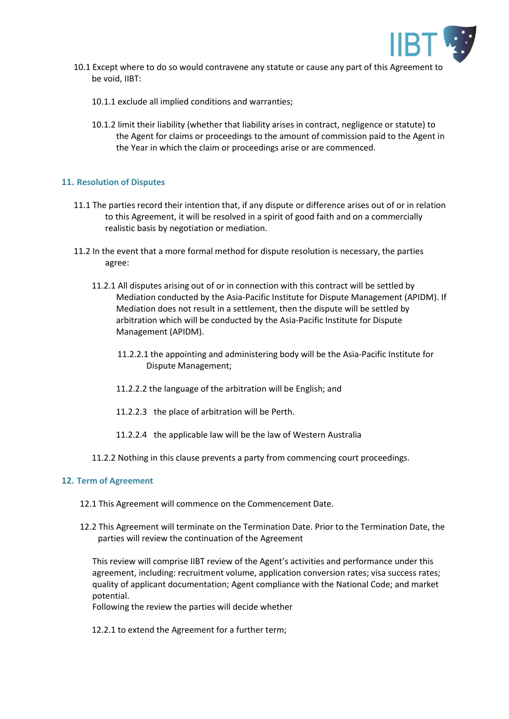

- 10.1 Except where to do so would contravene any statute or cause any part of this Agreement to be void, IIBT:
	- 10.1.1 exclude all implied conditions and warranties;
	- 10.1.2 limit their liability (whether that liability arises in contract, negligence or statute) to the Agent for claims or proceedings to the amount of commission paid to the Agent in the Year in which the claim or proceedings arise or are commenced.

#### **11. Resolution of Disputes**

- 11.1 The parties record their intention that, if any dispute or difference arises out of or in relation to this Agreement, it will be resolved in a spirit of good faith and on a commercially realistic basis by negotiation or mediation.
- 11.2 In the event that a more formal method for dispute resolution is necessary, the parties agree:
	- 11.2.1 All disputes arising out of or in connection with this contract will be settled by Mediation conducted by the Asia-Pacific Institute for Dispute Management (APIDM). If Mediation does not result in a settlement, then the dispute will be settled by arbitration which will be conducted by the Asia-Pacific Institute for Dispute Management (APIDM).
		- 11.2.2.1 the appointing and administering body will be the Asia-Pacific Institute for Dispute Management;
		- 11.2.2.2 the language of the arbitration will be English; and
		- 11.2.2.3 the place of arbitration will be Perth.
		- 11.2.2.4 the applicable law will be the law of Western Australia
	- 11.2.2 Nothing in this clause prevents a party from commencing court proceedings.

#### **12. Term of Agreement**

- 12.1 This Agreement will commence on the Commencement Date.
- 12.2 This Agreement will terminate on the Termination Date. Prior to the Termination Date, the parties will review the continuation of the Agreement

This review will comprise IIBT review of the Agent's activities and performance under this agreement, including: recruitment volume, application conversion rates; visa success rates; quality of applicant documentation; Agent compliance with the National Code; and market potential.

Following the review the parties will decide whether

12.2.1 to extend the Agreement for a further term;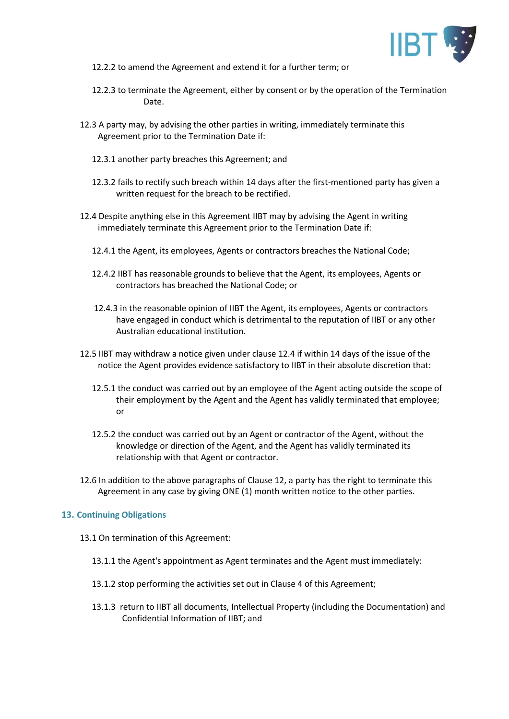

- 12.2.2 to amend the Agreement and extend it for a further term; or
- 12.2.3 to terminate the Agreement, either by consent or by the operation of the Termination Date.
- 12.3 A party may, by advising the other parties in writing, immediately terminate this Agreement prior to the Termination Date if:
	- 12.3.1 another party breaches this Agreement; and
	- 12.3.2 fails to rectify such breach within 14 days after the first-mentioned party has given a written request for the breach to be rectified.
- 12.4 Despite anything else in this Agreement IIBT may by advising the Agent in writing immediately terminate this Agreement prior to the Termination Date if:
	- 12.4.1 the Agent, its employees, Agents or contractors breaches the National Code;
	- 12.4.2 IIBT has reasonable grounds to believe that the Agent, its employees, Agents or contractors has breached the National Code; or
	- 12.4.3 in the reasonable opinion of IIBT the Agent, its employees, Agents or contractors have engaged in conduct which is detrimental to the reputation of IIBT or any other Australian educational institution.
- 12.5 IIBT may withdraw a notice given under clause 12.4 if within 14 days of the issue of the notice the Agent provides evidence satisfactory to IIBT in their absolute discretion that:
	- 12.5.1 the conduct was carried out by an employee of the Agent acting outside the scope of their employment by the Agent and the Agent has validly terminated that employee; or
	- 12.5.2 the conduct was carried out by an Agent or contractor of the Agent, without the knowledge or direction of the Agent, and the Agent has validly terminated its relationship with that Agent or contractor.
- 12.6 In addition to the above paragraphs of Clause 12, a party has the right to terminate this Agreement in any case by giving ONE (1) month written notice to the other parties.

#### **13. Continuing Obligations**

- 13.1 On termination of this Agreement:
	- 13.1.1 the Agent's appointment as Agent terminates and the Agent must immediately:
	- 13.1.2 stop performing the activities set out in Clause 4 of this Agreement;
	- 13.1.3 return to IIBT all documents, Intellectual Property (including the Documentation) and Confidential Information of IIBT; and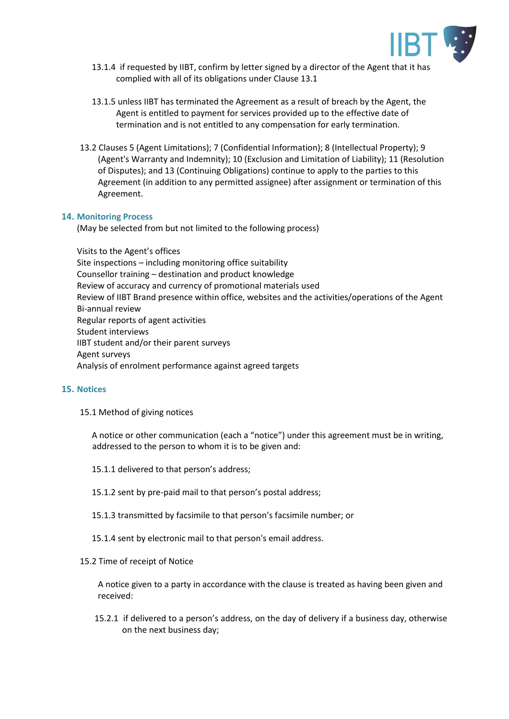

- 13.1.4 if requested by IIBT, confirm by letter signed by a director of the Agent that it has complied with all of its obligations under Clause 13.1
- 13.1.5 unless IIBT has terminated the Agreement as a result of breach by the Agent, the Agent is entitled to payment for services provided up to the effective date of termination and is not entitled to any compensation for early termination.
- 13.2 Clauses 5 (Agent Limitations); 7 (Confidential Information); 8 (Intellectual Property); 9 (Agent's Warranty and Indemnity); 10 (Exclusion and Limitation of Liability); 11 (Resolution of Disputes); and 13 (Continuing Obligations) continue to apply to the parties to this Agreement (in addition to any permitted assignee) after assignment or termination of this Agreement.

#### **14. Monitoring Process**

(May be selected from but not limited to the following process)

Visits to the Agent's offices Site inspections – including monitoring office suitability Counsellor training – destination and product knowledge Review of accuracy and currency of promotional materials used Review of IIBT Brand presence within office, websites and the activities/operations of the Agent Bi-annual review Regular reports of agent activities Student interviews IIBT student and/or their parent surveys Agent surveys Analysis of enrolment performance against agreed targets

#### **15. Notices**

#### 15.1 Method of giving notices

A notice or other communication (each a "notice") under this agreement must be in writing, addressed to the person to whom it is to be given and:

- 15.1.1 delivered to that person's address;
- 15.1.2 sent by pre-paid mail to that person's postal address;
- 15.1.3 transmitted by facsimile to that person's facsimile number; or
- 15.1.4 sent by electronic mail to that person's email address.

#### 15.2 Time of receipt of Notice

A notice given to a party in accordance with the clause is treated as having been given and received:

15.2.1 if delivered to a person's address, on the day of delivery if a business day, otherwise on the next business day;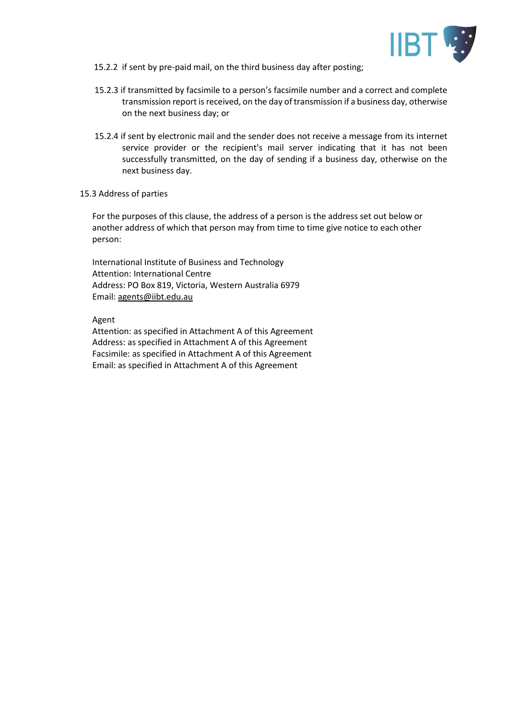

- 15.2.2 if sent by pre-paid mail, on the third business day after posting;
- 15.2.3 if transmitted by facsimile to a person's facsimile number and a correct and complete transmission report is received, on the day of transmission if a business day, otherwise on the next business day; or
- 15.2.4 if sent by electronic mail and the sender does not receive a message from its internet service provider or the recipient's mail server indicating that it has not been successfully transmitted, on the day of sending if a business day, otherwise on the next business day.
- 15.3 Address of parties

For the purposes of this clause, the address of a person is the address set out below or another address of which that person may from time to time give notice to each other person:

International Institute of Business and Technology Attention: International Centre Address: PO Box 819, Victoria, Western Australia 6979 Email: agents@iibt.edu.au

Agent

Attention: as specified in Attachment A of this Agreement Address: as specified in Attachment A of this Agreement Facsimile: as specified in Attachment A of this Agreement Email: as specified in Attachment A of this Agreement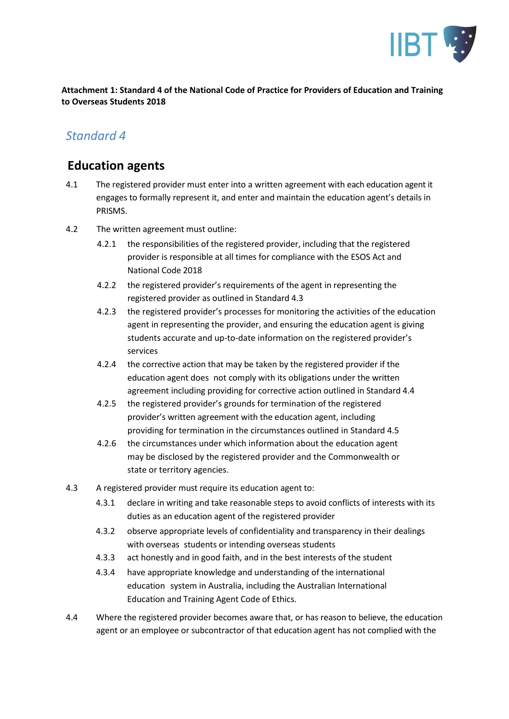

**Attachment 1: Standard 4 of the National Code of Practice for Providers of Education and Training to Overseas Students 2018**

# *Standard 4*

# **Education agents**

- 4.1 The registered provider must enter into a written agreement with each education agent it engages to formally represent it, and enter and maintain the education agent's details in PRISMS.
- 4.2 The written agreement must outline:
	- 4.2.1 the responsibilities of the registered provider, including that the registered provider is responsible at all times for compliance with the ESOS Act and National Code 2018
	- 4.2.2 the registered provider's requirements of the agent in representing the registered provider as outlined in Standard 4.3
	- 4.2.3 the registered provider's processes for monitoring the activities of the education agent in representing the provider, and ensuring the education agent is giving students accurate and up-to-date information on the registered provider's services
	- 4.2.4 the corrective action that may be taken by the registered provider if the education agent does not comply with its obligations under the written agreement including providing for corrective action outlined in Standard 4.4
	- 4.2.5 the registered provider's grounds for termination of the registered provider's written agreement with the education agent, including providing for termination in the circumstances outlined in Standard 4.5
	- 4.2.6 the circumstances under which information about the education agent may be disclosed by the registered provider and the Commonwealth or state or territory agencies.
- 4.3 A registered provider must require its education agent to:
	- 4.3.1 declare in writing and take reasonable steps to avoid conflicts of interests with its duties as an education agent of the registered provider
	- 4.3.2 observe appropriate levels of confidentiality and transparency in their dealings with overseas students or intending overseas students
	- 4.3.3 act honestly and in good faith, and in the best interests of the student
	- 4.3.4 have appropriate knowledge and understanding of the international education system in Australia, including the Australian International Education and Training Agent Code of Ethics.
- 4.4 Where the registered provider becomes aware that, or has reason to believe, the education agent or an employee or subcontractor of that education agent has not complied with the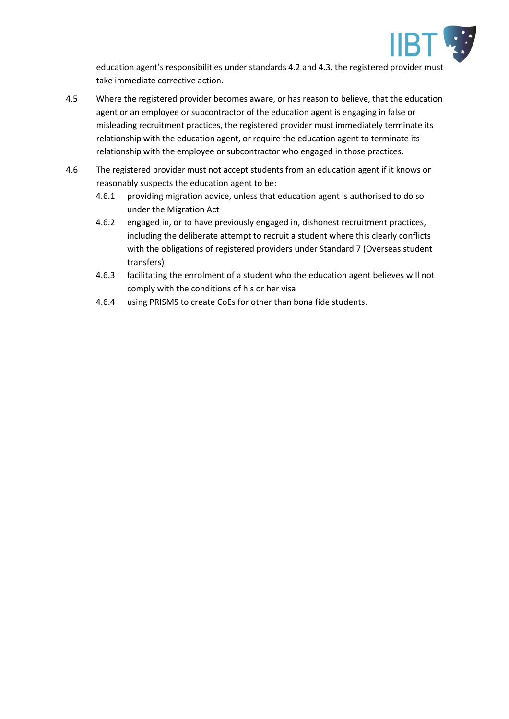

education agent's responsibilities under standards 4.2 and 4.3, the registered provider must take immediate corrective action.

- 4.5 Where the registered provider becomes aware, or has reason to believe, that the education agent or an employee or subcontractor of the education agent is engaging in false or misleading recruitment practices, the registered provider must immediately terminate its relationship with the education agent, or require the education agent to terminate its relationship with the employee or subcontractor who engaged in those practices.
- 4.6 The registered provider must not accept students from an education agent if it knows or reasonably suspects the education agent to be:
	- 4.6.1 providing migration advice, unless that education agent is authorised to do so under the Migration Act
	- 4.6.2 engaged in, or to have previously engaged in, dishonest recruitment practices, including the deliberate attempt to recruit a student where this clearly conflicts with the obligations of registered providers under Standard 7 (Overseas student transfers)
	- 4.6.3 facilitating the enrolment of a student who the education agent believes will not comply with the conditions of his or her visa
	- 4.6.4 using PRISMS to create CoEs for other than bona fide students.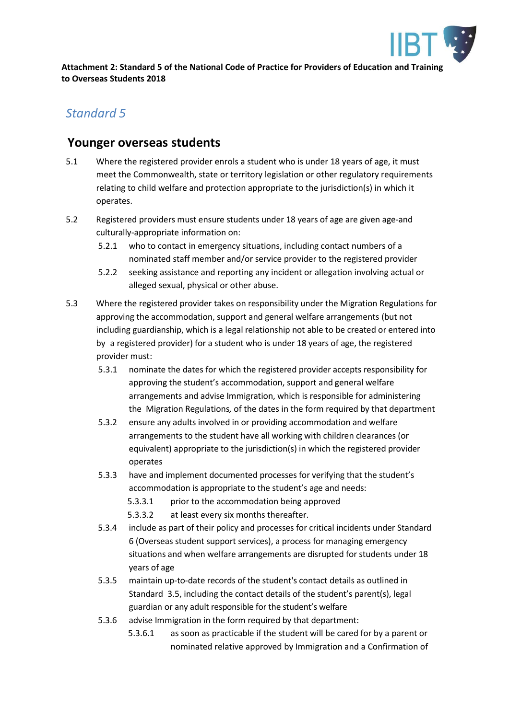

**Attachment 2: Standard 5 of the National Code of Practice for Providers of Education and Training to Overseas Students 2018**

# *Standard 5*

# **Younger overseas students**

- 5.1 Where the registered provider enrols a student who is under 18 years of age, it must meet the Commonwealth, state or territory legislation or other regulatory requirements relating to child welfare and protection appropriate to the jurisdiction(s) in which it operates.
- 5.2 Registered providers must ensure students under 18 years of age are given age-and culturally-appropriate information on:
	- 5.2.1 who to contact in emergency situations, including contact numbers of a nominated staff member and/or service provider to the registered provider
	- 5.2.2 seeking assistance and reporting any incident or allegation involving actual or alleged sexual, physical or other abuse.
- 5.3 Where the registered provider takes on responsibility under the Migration Regulations for approving the accommodation, support and general welfare arrangements (but not including guardianship, which is a legal relationship not able to be created or entered into by a registered provider) for a student who is under 18 years of age, the registered provider must:
	- 5.3.1 nominate the dates for which the registered provider accepts responsibility for approving the student's accommodation, support and general welfare arrangements and advise Immigration, which is responsible for administering the Migration Regulations*,* of the dates in the form required by that department
	- 5.3.2 ensure any adults involved in or providing accommodation and welfare arrangements to the student have all working with children clearances (or equivalent) appropriate to the jurisdiction(s) in which the registered provider operates
	- 5.3.3 have and implement documented processes for verifying that the student's accommodation is appropriate to the student's age and needs:
		- 5.3.3.1 prior to the accommodation being approved
		- 5.3.3.2 at least every six months thereafter.
	- 5.3.4 include as part of their policy and processes for critical incidents under Standard 6 (Overseas student support services), a process for managing emergency situations and when welfare arrangements are disrupted for students under 18 years of age
	- 5.3.5 maintain up-to-date records of the student's contact details as outlined in Standard 3.5, including the contact details of the student's parent(s), legal guardian or any adult responsible for the student's welfare
	- 5.3.6 advise Immigration in the form required by that department:
		- 5.3.6.1 as soon as practicable if the student will be cared for by a parent or nominated relative approved by Immigration and a Confirmation of